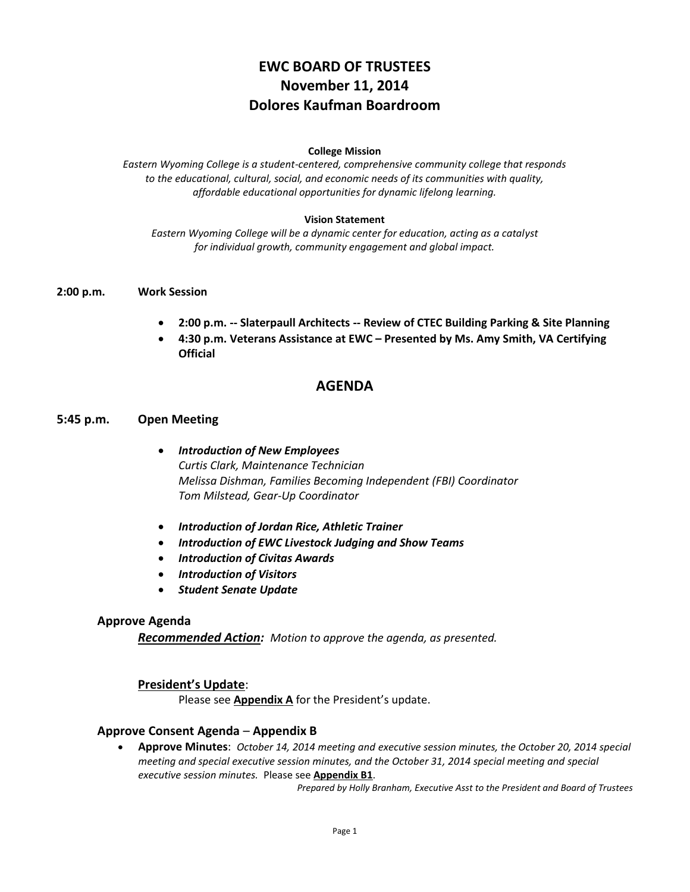# **EWC BOARD OF TRUSTEES November 11, 2014 Dolores Kaufman Boardroom**

### **College Mission**

*Eastern Wyoming College is a student-centered, comprehensive community college that responds to the educational, cultural, social, and economic needs of its communities with quality, affordable educational opportunities for dynamic lifelong learning.*

### **Vision Statement**

*Eastern Wyoming College will be a dynamic center for education, acting as a catalyst for individual growth, community engagement and global impact.*

### **2:00 p.m. Work Session**

- **2:00 p.m. -- Slaterpaull Architects -- Review of CTEC Building Parking & Site Planning**
- **4:30 p.m. Veterans Assistance at EWC – Presented by Ms. Amy Smith, VA Certifying Official**

### **AGENDA**

### **5:45 p.m. Open Meeting**

- *Introduction of New Employees Curtis Clark, Maintenance Technician Melissa Dishman, Families Becoming Independent (FBI) Coordinator Tom Milstead, Gear-Up Coordinator*
- *Introduction of Jordan Rice, Athletic Trainer*
- *Introduction of EWC Livestock Judging and Show Teams*
- *Introduction of Civitas Awards*
- *Introduction of Visitors*
- *Student Senate Update*

### **Approve Agenda**

*Recommended Action: Motion to approve the agenda, as presented.*

### **President's Update**:

Please see **Appendix A** for the President's update.

### **Approve Consent Agenda** – **Appendix B**

 **Approve Minutes**: *October 14, 2014 meeting and executive session minutes, the October 20, 2014 special meeting and special executive session minutes, and the October 31, 2014 special meeting and special executive session minutes.* Please see **Appendix B1**.

*Prepared by Holly Branham, Executive Asst to the President and Board of Trustees*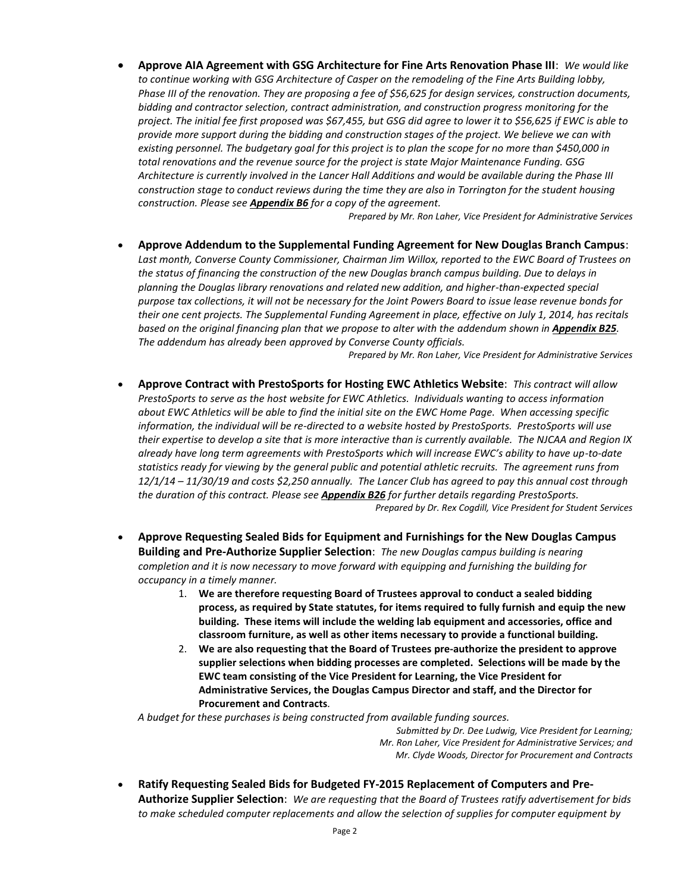**Approve AIA Agreement with GSG Architecture for Fine Arts Renovation Phase III**: *We would like to continue working with GSG Architecture of Casper on the remodeling of the Fine Arts Building lobby, Phase III of the renovation. They are proposing a fee of \$56,625 for design services, construction documents, bidding and contractor selection, contract administration, and construction progress monitoring for the project. The initial fee first proposed was \$67,455, but GSG did agree to lower it to \$56,625 if EWC is able to provide more support during the bidding and construction stages of the project. We believe we can with existing personnel. The budgetary goal for this project is to plan the scope for no more than \$450,000 in total renovations and the revenue source for the project is state Major Maintenance Funding. GSG Architecture is currently involved in the Lancer Hall Additions and would be available during the Phase III construction stage to conduct reviews during the time they are also in Torrington for the student housing construction. Please see Appendix B6 for a copy of the agreement.*

*Prepared by Mr. Ron Laher, Vice President for Administrative Services*

 **Approve Addendum to the Supplemental Funding Agreement for New Douglas Branch Campus**: *Last month, Converse County Commissioner, Chairman Jim Willox, reported to the EWC Board of Trustees on the status of financing the construction of the new Douglas branch campus building. Due to delays in planning the Douglas library renovations and related new addition, and higher-than-expected special purpose tax collections, it will not be necessary for the Joint Powers Board to issue lease revenue bonds for their one cent projects. The Supplemental Funding Agreement in place, effective on July 1, 2014, has recitals based on the original financing plan that we propose to alter with the addendum shown in Appendix B25. The addendum has already been approved by Converse County officials.*

*Prepared by Mr. Ron Laher, Vice President for Administrative Services*

- **Approve Contract with PrestoSports for Hosting EWC Athletics Website**: *This contract will allow PrestoSports to serve as the host website for EWC Athletics. Individuals wanting to access information about EWC Athletics will be able to find the initial site on the EWC Home Page. When accessing specific information, the individual will be re-directed to a website hosted by PrestoSports. PrestoSports will use their expertise to develop a site that is more interactive than is currently available. The NJCAA and Region IX already have long term agreements with PrestoSports which will increase EWC's ability to have up-to-date statistics ready for viewing by the general public and potential athletic recruits. The agreement runs from 12/1/14 – 11/30/19 and costs \$2,250 annually. The Lancer Club has agreed to pay this annual cost through the duration of this contract. Please see Appendix B26 for further details regarding PrestoSports. Prepared by Dr. Rex Cogdill, Vice President for Student Services*
- **Approve Requesting Sealed Bids for Equipment and Furnishings for the New Douglas Campus Building and Pre-Authorize Supplier Selection**: *The new Douglas campus building is nearing completion and it is now necessary to move forward with equipping and furnishing the building for occupancy in a timely manner.*
	- 1. **We are therefore requesting Board of Trustees approval to conduct a sealed bidding process, as required by State statutes, for items required to fully furnish and equip the new building. These items will include the welding lab equipment and accessories, office and classroom furniture, as well as other items necessary to provide a functional building.**
	- 2. **We are also requesting that the Board of Trustees pre-authorize the president to approve supplier selections when bidding processes are completed. Selections will be made by the EWC team consisting of the Vice President for Learning, the Vice President for Administrative Services, the Douglas Campus Director and staff, and the Director for Procurement and Contracts***.*

*A budget for these purchases is being constructed from available funding sources.*

*Submitted by Dr. Dee Ludwig, Vice President for Learning; Mr. Ron Laher, Vice President for Administrative Services; and Mr. Clyde Woods, Director for Procurement and Contracts*

 **Ratify Requesting Sealed Bids for Budgeted FY-2015 Replacement of Computers and Pre-Authorize Supplier Selection**: *We are requesting that the Board of Trustees ratify advertisement for bids to make scheduled computer replacements and allow the selection of supplies for computer equipment by*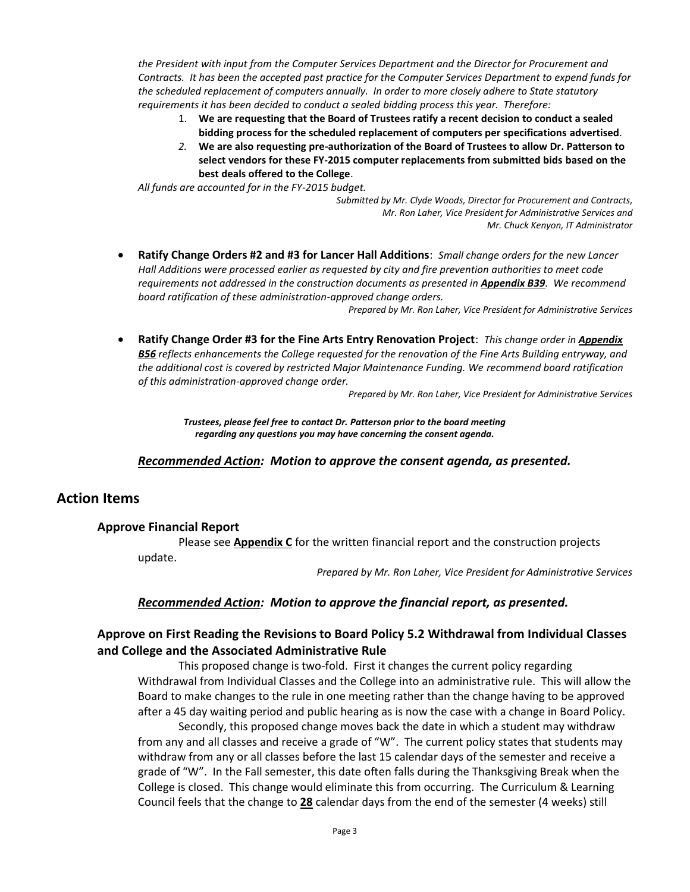*the President with input from the Computer Services Department and the Director for Procurement and Contracts. It has been the accepted past practice for the Computer Services Department to expend funds for the scheduled replacement of computers annually. In order to more closely adhere to State statutory requirements it has been decided to conduct a sealed bidding process this year. Therefore:* 

- 1. **We are requesting that the Board of Trustees ratify a recent decision to conduct a sealed bidding process for the scheduled replacement of computers per specifications advertised**.
- *2.* **We are also requesting pre-authorization of the Board of Trustees to allow Dr. Patterson to select vendors for these FY-2015 computer replacements from submitted bids based on the best deals offered to the College**.

*All funds are accounted for in the FY-2015 budget.*

*Submitted by Mr. Clyde Woods, Director for Procurement and Contracts, Mr. Ron Laher, Vice President for Administrative Services and Mr. Chuck Kenyon, IT Administrator*

 **Ratify Change Orders #2 and #3 for Lancer Hall Additions**: *Small change orders for the new Lancer Hall Additions were processed earlier as requested by city and fire prevention authorities to meet code requirements not addressed in the construction documents as presented in Appendix B39. We recommend board ratification of these administration-approved change orders.*

*Prepared by Mr. Ron Laher, Vice President for Administrative Services*

 **Ratify Change Order #3 for the Fine Arts Entry Renovation Project**: *This change order in Appendix B56 reflects enhancements the College requested for the renovation of the Fine Arts Building entryway, and the additional cost is covered by restricted Major Maintenance Funding. We recommend board ratification of this administration-approved change order.* 

*Prepared by Mr. Ron Laher, Vice President for Administrative Services*

*Trustees, please feel free to contact Dr. Patterson prior to the board meeting regarding any questions you may have concerning the consent agenda.*

*Recommended Action: Motion to approve the consent agenda, as presented.*

### **Action Items**

### **Approve Financial Report**

Please see **Appendix C** for the written financial report and the construction projects update.

*Prepared by Mr. Ron Laher, Vice President for Administrative Services*

### *Recommended Action: Motion to approve the financial report, as presented.*

### **Approve on First Reading the Revisions to Board Policy 5.2 Withdrawal from Individual Classes and College and the Associated Administrative Rule**

This proposed change is two-fold. First it changes the current policy regarding Withdrawal from Individual Classes and the College into an administrative rule. This will allow the Board to make changes to the rule in one meeting rather than the change having to be approved after a 45 day waiting period and public hearing as is now the case with a change in Board Policy.

Secondly, this proposed change moves back the date in which a student may withdraw from any and all classes and receive a grade of "W". The current policy states that students may withdraw from any or all classes before the last 15 calendar days of the semester and receive a grade of "W". In the Fall semester, this date often falls during the Thanksgiving Break when the College is closed. This change would eliminate this from occurring. The Curriculum & Learning Council feels that the change to **28** calendar days from the end of the semester (4 weeks) still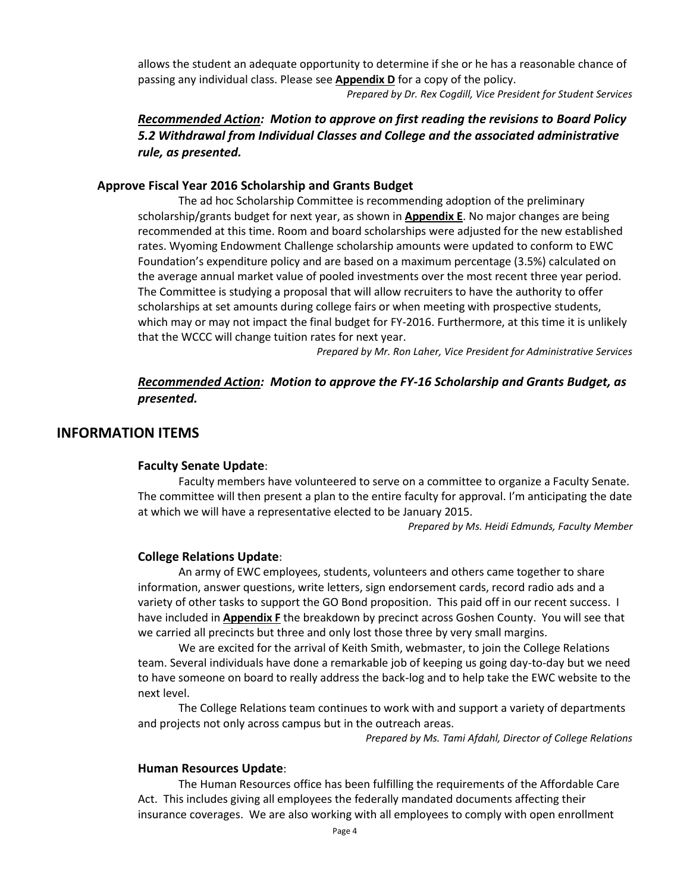allows the student an adequate opportunity to determine if she or he has a reasonable chance of passing any individual class. Please see **Appendix D** for a copy of the policy.

*Prepared by Dr. Rex Cogdill, Vice President for Student Services*

### *Recommended Action: Motion to approve on first reading the revisions to Board Policy 5.2 Withdrawal from Individual Classes and College and the associated administrative rule, as presented.*

### **Approve Fiscal Year 2016 Scholarship and Grants Budget**

The ad hoc Scholarship Committee is recommending adoption of the preliminary scholarship/grants budget for next year, as shown in **Appendix E**. No major changes are being recommended at this time. Room and board scholarships were adjusted for the new established rates. Wyoming Endowment Challenge scholarship amounts were updated to conform to EWC Foundation's expenditure policy and are based on a maximum percentage (3.5%) calculated on the average annual market value of pooled investments over the most recent three year period. The Committee is studying a proposal that will allow recruiters to have the authority to offer scholarships at set amounts during college fairs or when meeting with prospective students, which may or may not impact the final budget for FY-2016. Furthermore, at this time it is unlikely that the WCCC will change tuition rates for next year.

*Prepared by Mr. Ron Laher, Vice President for Administrative Services*

### *Recommended Action: Motion to approve the FY-16 Scholarship and Grants Budget, as presented.*

### **INFORMATION ITEMS**

### **Faculty Senate Update**:

Faculty members have volunteered to serve on a committee to organize a Faculty Senate. The committee will then present a plan to the entire faculty for approval. I'm anticipating the date at which we will have a representative elected to be January 2015.

*Prepared by Ms. Heidi Edmunds, Faculty Member*

### **College Relations Update**:

An army of EWC employees, students, volunteers and others came together to share information, answer questions, write letters, sign endorsement cards, record radio ads and a variety of other tasks to support the GO Bond proposition. This paid off in our recent success. I have included in **Appendix F** the breakdown by precinct across Goshen County. You will see that we carried all precincts but three and only lost those three by very small margins.

We are excited for the arrival of Keith Smith, webmaster, to join the College Relations team. Several individuals have done a remarkable job of keeping us going day-to-day but we need to have someone on board to really address the back-log and to help take the EWC website to the next level.

The College Relations team continues to work with and support a variety of departments and projects not only across campus but in the outreach areas.

*Prepared by Ms. Tami Afdahl, Director of College Relations*

### **Human Resources Update**:

The Human Resources office has been fulfilling the requirements of the Affordable Care Act. This includes giving all employees the federally mandated documents affecting their insurance coverages. We are also working with all employees to comply with open enrollment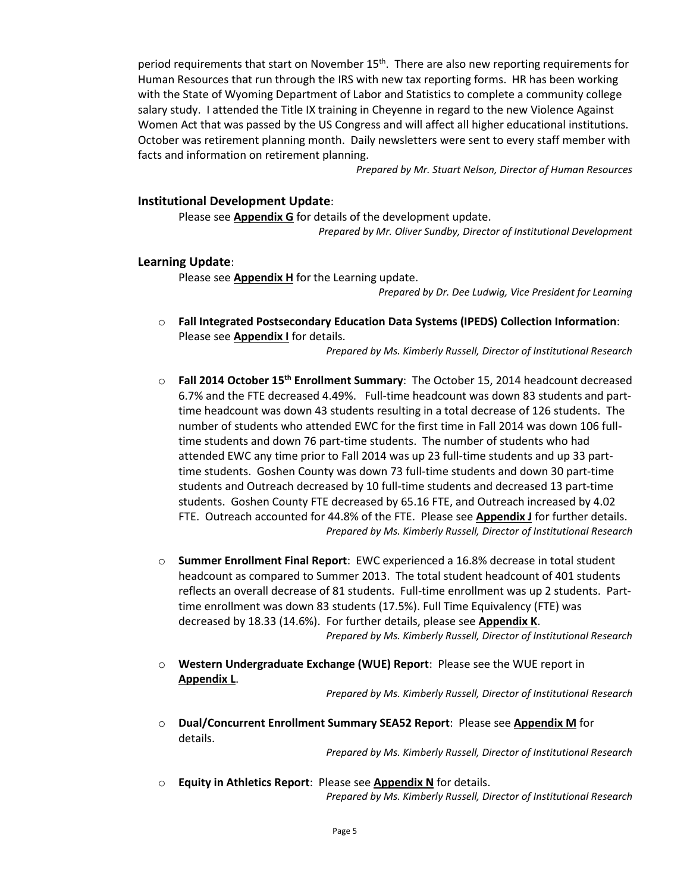period requirements that start on November  $15<sup>th</sup>$ . There are also new reporting requirements for Human Resources that run through the IRS with new tax reporting forms. HR has been working with the State of Wyoming Department of Labor and Statistics to complete a community college salary study. I attended the Title IX training in Cheyenne in regard to the new Violence Against Women Act that was passed by the US Congress and will affect all higher educational institutions. October was retirement planning month. Daily newsletters were sent to every staff member with facts and information on retirement planning.

*Prepared by Mr. Stuart Nelson, Director of Human Resources*

#### **Institutional Development Update**:

Please see **Appendix G** for details of the development update. *Prepared by Mr. Oliver Sundby, Director of Institutional Development*

#### **Learning Update**:

Please see **Appendix H** for the Learning update.

*Prepared by Dr. Dee Ludwig, Vice President for Learning*

o **Fall Integrated Postsecondary Education Data Systems (IPEDS) Collection Information**: Please see **Appendix I** for details.

*Prepared by Ms. Kimberly Russell, Director of Institutional Research*

- o **Fall 2014 October 15th Enrollment Summary**: The October 15, 2014 headcount decreased 6.7% and the FTE decreased 4.49%. Full-time headcount was down 83 students and parttime headcount was down 43 students resulting in a total decrease of 126 students. The number of students who attended EWC for the first time in Fall 2014 was down 106 fulltime students and down 76 part-time students. The number of students who had attended EWC any time prior to Fall 2014 was up 23 full-time students and up 33 parttime students. Goshen County was down 73 full-time students and down 30 part-time students and Outreach decreased by 10 full-time students and decreased 13 part-time students. Goshen County FTE decreased by 65.16 FTE, and Outreach increased by 4.02 FTE. Outreach accounted for 44.8% of the FTE. Please see **Appendix J** for further details. *Prepared by Ms. Kimberly Russell, Director of Institutional Research*
- o **Summer Enrollment Final Report**: EWC experienced a 16.8% decrease in total student headcount as compared to Summer 2013. The total student headcount of 401 students reflects an overall decrease of 81 students. Full-time enrollment was up 2 students. Parttime enrollment was down 83 students (17.5%). Full Time Equivalency (FTE) was decreased by 18.33 (14.6%). For further details, please see **Appendix K**. *Prepared by Ms. Kimberly Russell, Director of Institutional Research*
- o **Western Undergraduate Exchange (WUE) Report**: Please see the WUE report in **Appendix L**.

*Prepared by Ms. Kimberly Russell, Director of Institutional Research*

o **Dual/Concurrent Enrollment Summary SEA52 Report**: Please see **Appendix M** for details.

*Prepared by Ms. Kimberly Russell, Director of Institutional Research*

o **Equity in Athletics Report**: Please see **Appendix N** for details. *Prepared by Ms. Kimberly Russell, Director of Institutional Research*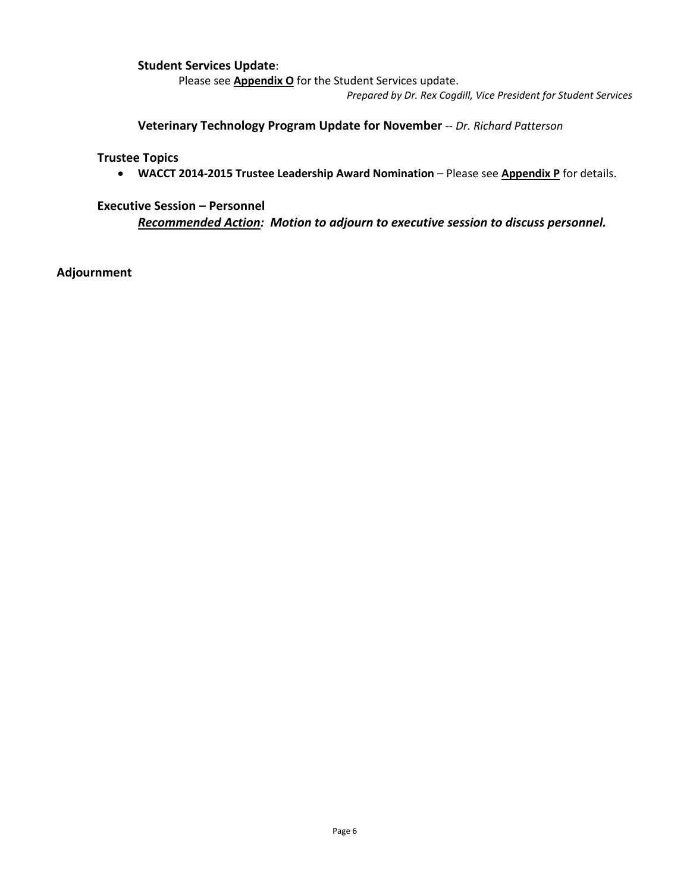### **Student Services Update**:

Please see **Appendix O** for the Student Services update.

*Prepared by Dr. Rex Cogdill, Vice President for Student Services*

**Veterinary Technology Program Update for November** -- *Dr. Richard Patterson*

**Trustee Topics**

**WACCT 2014-2015 Trustee Leadership Award Nomination** – Please see **Appendix P** for details.

**Executive Session – Personnel**

*Recommended Action: Motion to adjourn to executive session to discuss personnel.*

**Adjournment**